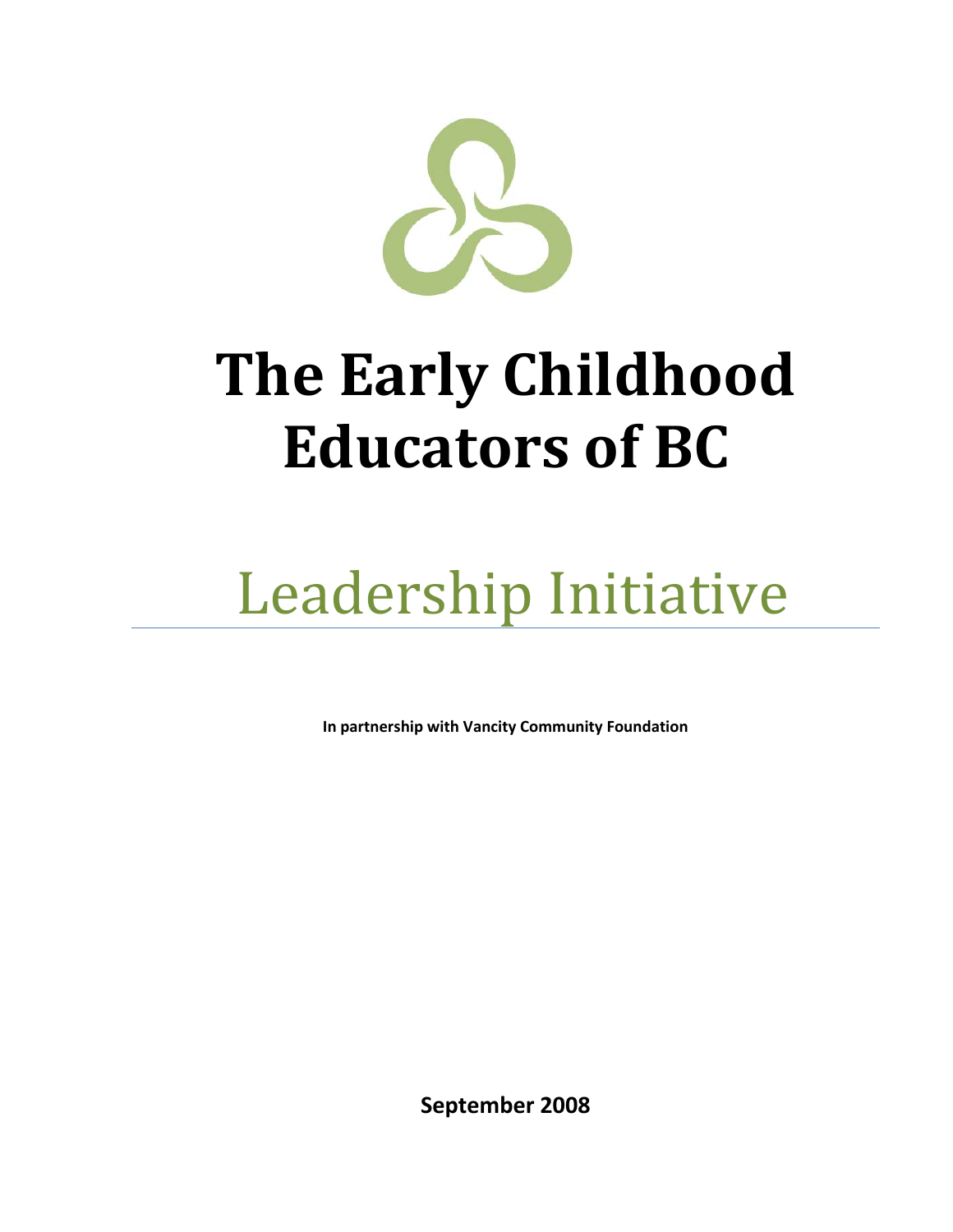

# **The Early Childhood Educators of BC**

# Leadership Initiative

**In partnership with Vancity Community Foundation**

**September 2008**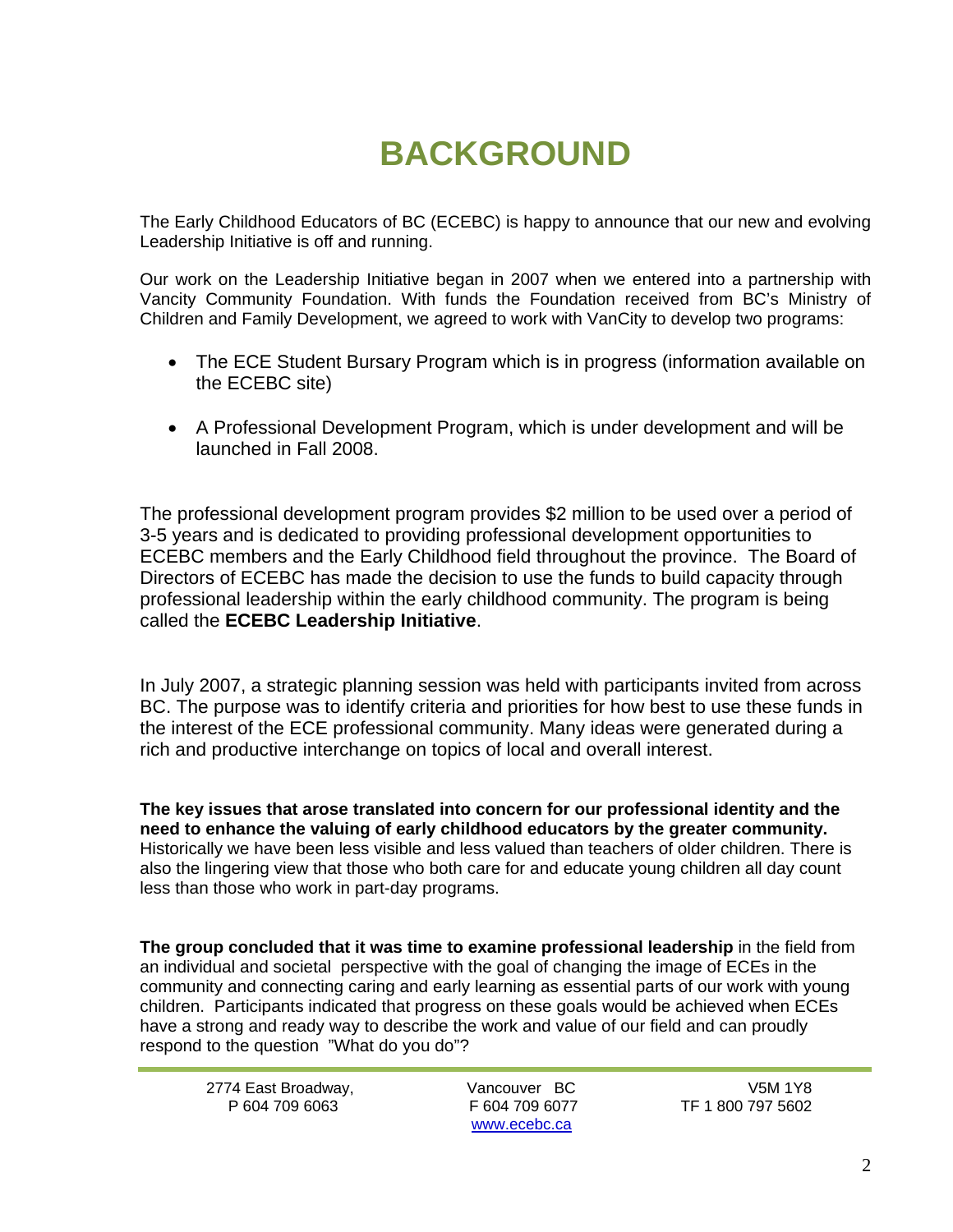## **BACKGROUND**

The Early Childhood Educators of BC (ECEBC) is happy to announce that our new and evolving Leadership Initiative is off and running.

Our work on the Leadership Initiative began in 2007 when we entered into a partnership with Vancity Community Foundation. With funds the Foundation received from BC's Ministry of Children and Family Development, we agreed to work with VanCity to develop two programs:

- The ECE Student Bursary Program which is in progress (information available on the ECEBC site)
- A Professional Development Program, which is under development and will be launched in Fall 2008.

The professional development program provides \$2 million to be used over a period of 3-5 years and is dedicated to providing professional development opportunities to ECEBC members and the Early Childhood field throughout the province. The Board of Directors of ECEBC has made the decision to use the funds to build capacity through professional leadership within the early childhood community. The program is being called the **ECEBC Leadership Initiative**.

In July 2007, a strategic planning session was held with participants invited from across BC. The purpose was to identify criteria and priorities for how best to use these funds in the interest of the ECE professional community. Many ideas were generated during a rich and productive interchange on topics of local and overall interest.

**The key issues that arose translated into concern for our professional identity and the need to enhance the valuing of early childhood educators by the greater community.**  Historically we have been less visible and less valued than teachers of older children. There is also the lingering view that those who both care for and educate young children all day count less than those who work in part-day programs.

**The group concluded that it was time to examine professional leadership** in the field from an individual and societal perspective with the goal of changing the image of ECEs in the community and connecting caring and early learning as essential parts of our work with young children. Participants indicated that progress on these goals would be achieved when ECEs have a strong and ready way to describe the work and value of our field and can proudly respond to the question "What do you do"?

2774 East Broadway, Vancouver BC V5M 1Y8

www.ecebc.ca

F 604 709 6077 TF 1 800 797 5602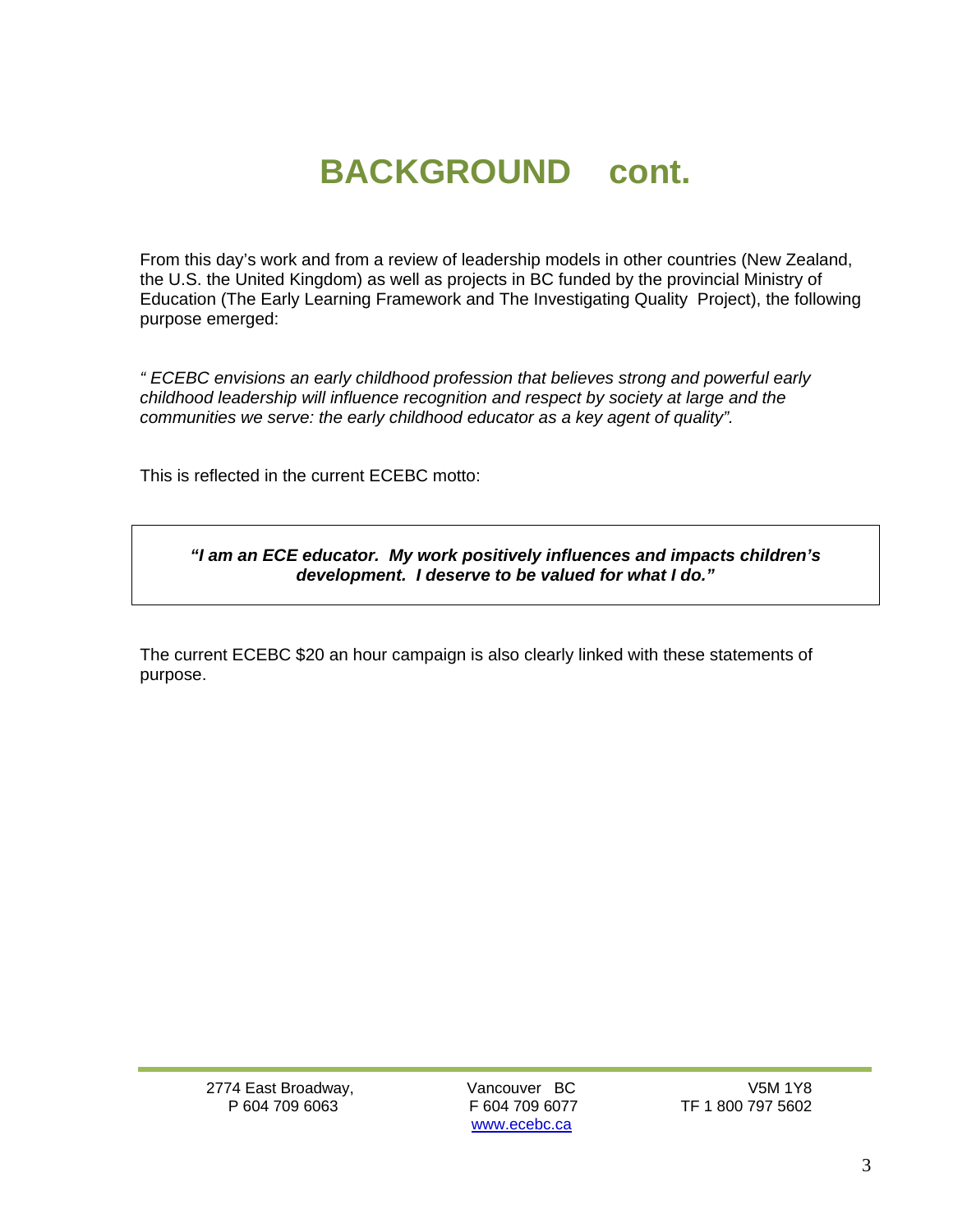### **BACKGROUND cont.**

From this day's work and from a review of leadership models in other countries (New Zealand, the U.S. the United Kingdom) as well as projects in BC funded by the provincial Ministry of Education (The Early Learning Framework and The Investigating Quality Project), the following purpose emerged:

*" ECEBC envisions an early childhood profession that believes strong and powerful early childhood leadership will influence recognition and respect by society at large and the communities we serve: the early childhood educator as a key agent of quality".*

This is reflected in the current ECEBC motto:

*"I am an ECE educator. My work positively influences and impacts children's development. I deserve to be valued for what I do."* 

The current ECEBC \$20 an hour campaign is also clearly linked with these statements of purpose.

2774 East Broadway, Vancouver BC V5M 1Y8

www.ecebc.ca

TF 1 800 797 5602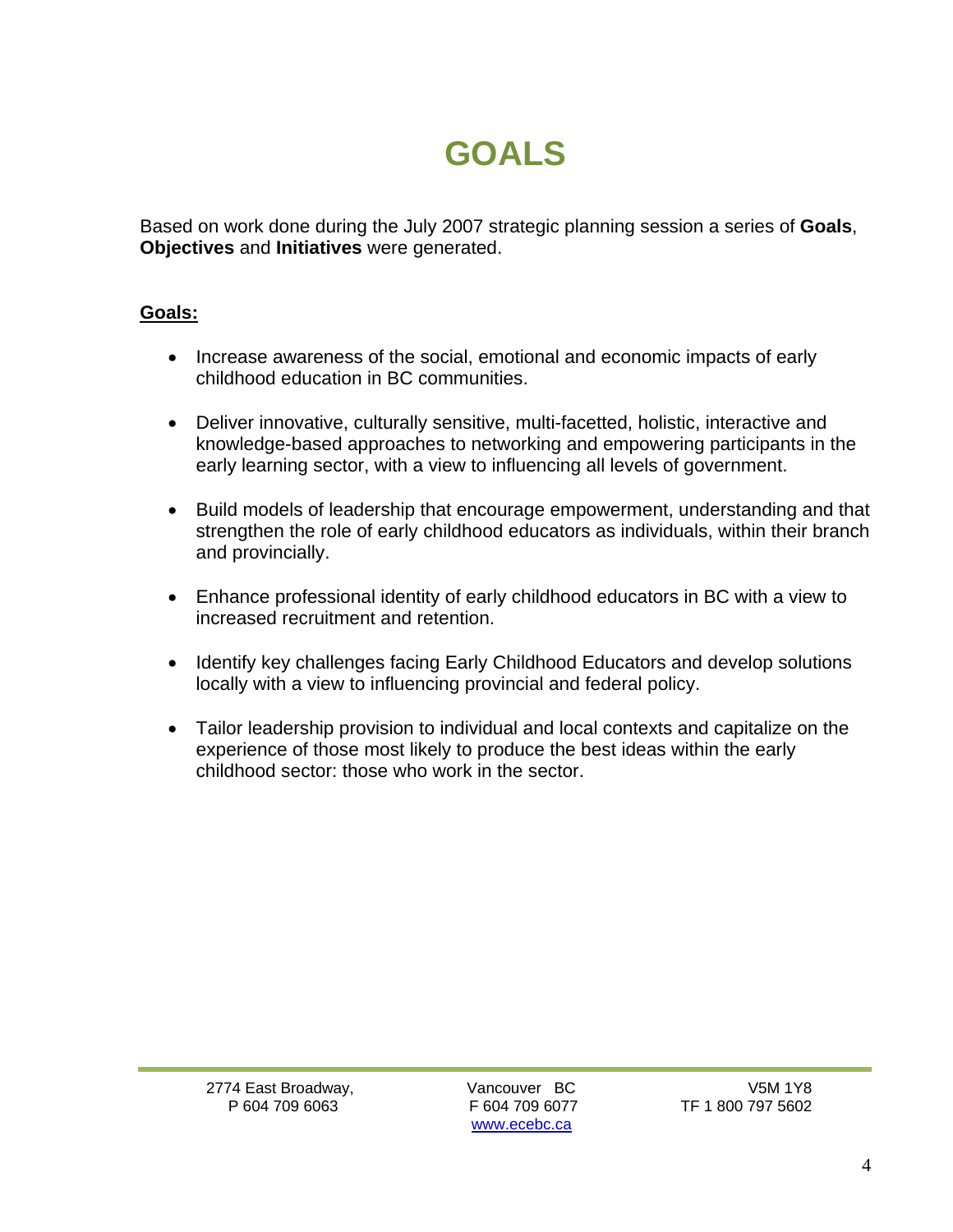### **GOALS**

Based on work done during the July 2007 strategic planning session a series of **Goals**, **Objectives** and **Initiatives** were generated.

#### **Goals:**

- Increase awareness of the social, emotional and economic impacts of early childhood education in BC communities.
- Deliver innovative, culturally sensitive, multi-facetted, holistic, interactive and knowledge-based approaches to networking and empowering participants in the early learning sector, with a view to influencing all levels of government.
- Build models of leadership that encourage empowerment, understanding and that strengthen the role of early childhood educators as individuals, within their branch and provincially.
- Enhance professional identity of early childhood educators in BC with a view to increased recruitment and retention.
- Identify key challenges facing Early Childhood Educators and develop solutions locally with a view to influencing provincial and federal policy.
- Tailor leadership provision to individual and local contexts and capitalize on the experience of those most likely to produce the best ideas within the early childhood sector: those who work in the sector.

www.ecebc.ca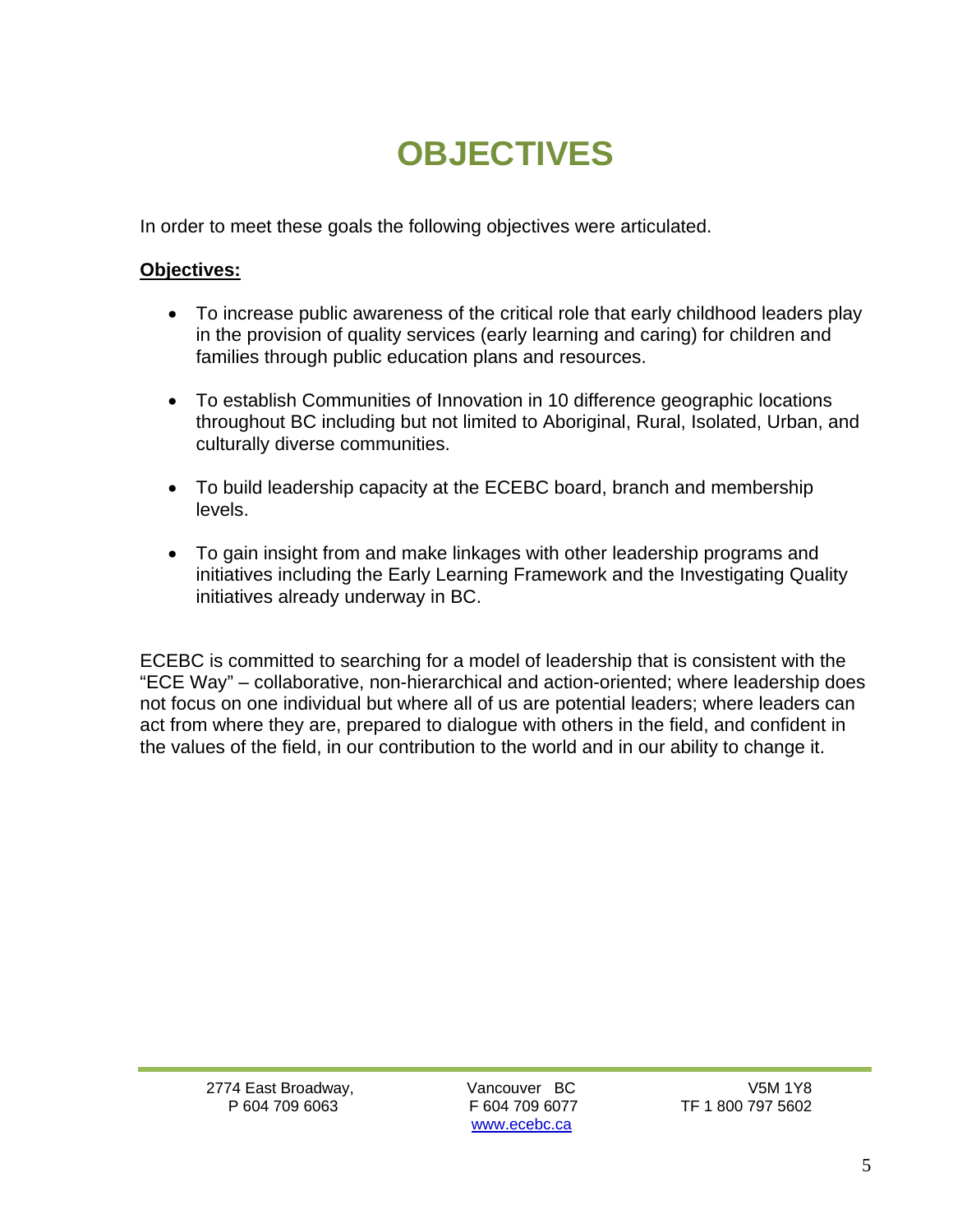## **OBJECTIVES**

In order to meet these goals the following objectives were articulated.

#### **Objectives:**

- To increase public awareness of the critical role that early childhood leaders play in the provision of quality services (early learning and caring) for children and families through public education plans and resources.
- To establish Communities of Innovation in 10 difference geographic locations throughout BC including but not limited to Aboriginal, Rural, Isolated, Urban, and culturally diverse communities.
- To build leadership capacity at the ECEBC board, branch and membership levels.
- To gain insight from and make linkages with other leadership programs and initiatives including the Early Learning Framework and the Investigating Quality initiatives already underway in BC.

ECEBC is committed to searching for a model of leadership that is consistent with the "ECE Way" – collaborative, non-hierarchical and action-oriented; where leadership does not focus on one individual but where all of us are potential leaders; where leaders can act from where they are, prepared to dialogue with others in the field, and confident in the values of the field, in our contribution to the world and in our ability to change it.

2774 East Broadway, Vancouver BC V5M 1Y8

www.ecebc.ca

P 604 709 6063 F 604 709 6077 TF 1 800 797 5602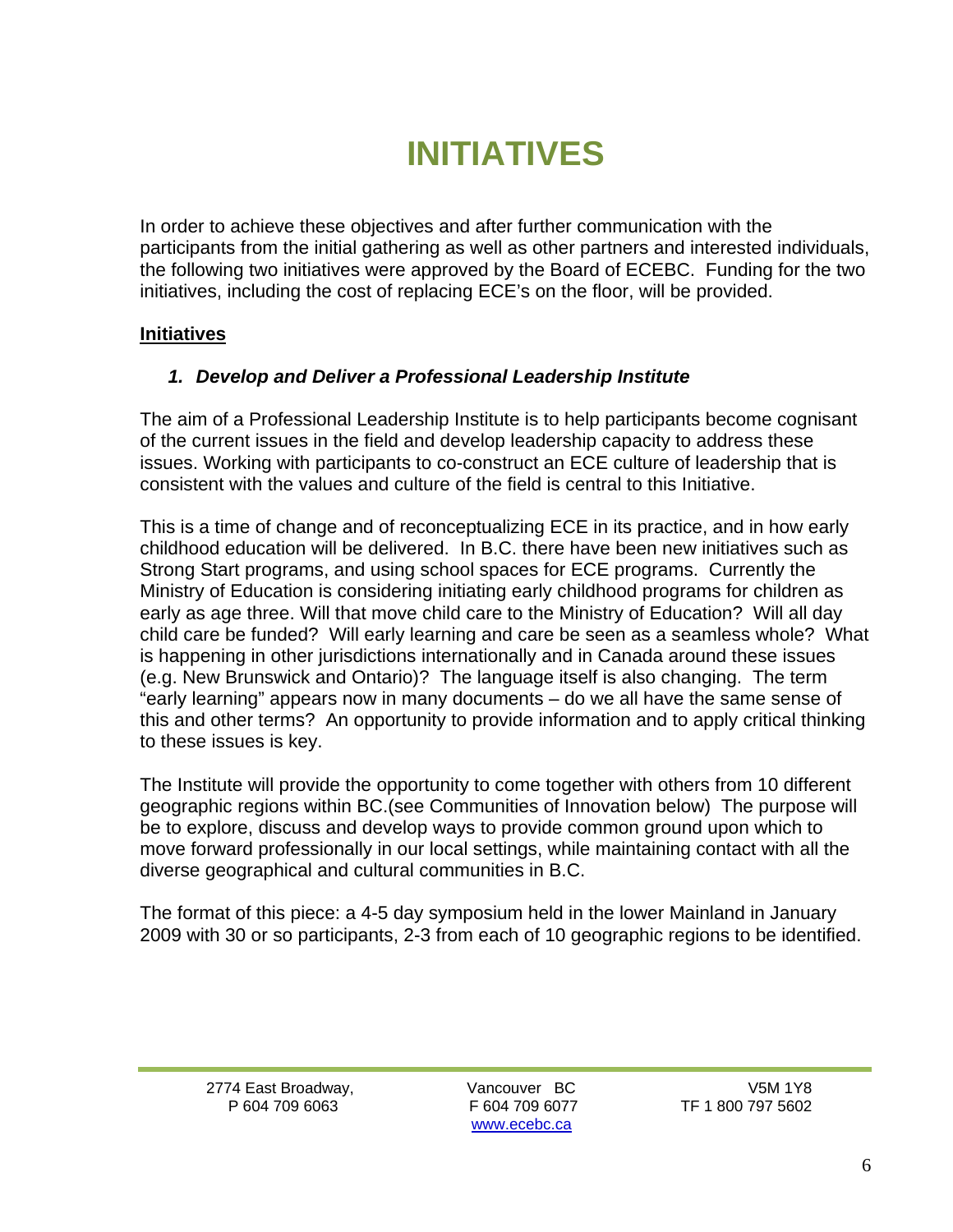### **INITIATIVES**

In order to achieve these objectives and after further communication with the participants from the initial gathering as well as other partners and interested individuals, the following two initiatives were approved by the Board of ECEBC. Funding for the two initiatives, including the cost of replacing ECE's on the floor, will be provided.

#### **Initiatives**

#### *1. Develop and Deliver a Professional Leadership Institute*

The aim of a Professional Leadership Institute is to help participants become cognisant of the current issues in the field and develop leadership capacity to address these issues. Working with participants to co-construct an ECE culture of leadership that is consistent with the values and culture of the field is central to this Initiative.

This is a time of change and of reconceptualizing ECE in its practice, and in how early childhood education will be delivered. In B.C. there have been new initiatives such as Strong Start programs, and using school spaces for ECE programs. Currently the Ministry of Education is considering initiating early childhood programs for children as early as age three. Will that move child care to the Ministry of Education? Will all day child care be funded? Will early learning and care be seen as a seamless whole? What is happening in other jurisdictions internationally and in Canada around these issues (e.g. New Brunswick and Ontario)? The language itself is also changing. The term "early learning" appears now in many documents – do we all have the same sense of this and other terms? An opportunity to provide information and to apply critical thinking to these issues is key.

The Institute will provide the opportunity to come together with others from 10 different geographic regions within BC.(see Communities of Innovation below) The purpose will be to explore, discuss and develop ways to provide common ground upon which to move forward professionally in our local settings, while maintaining contact with all the diverse geographical and cultural communities in B.C.

The format of this piece: a 4-5 day symposium held in the lower Mainland in January 2009 with 30 or so participants, 2-3 from each of 10 geographic regions to be identified.

2774 East Broadway, Vancouver BC V5M 1Y8

www.ecebc.ca

F 604 709 6077 TF 1 800 797 5602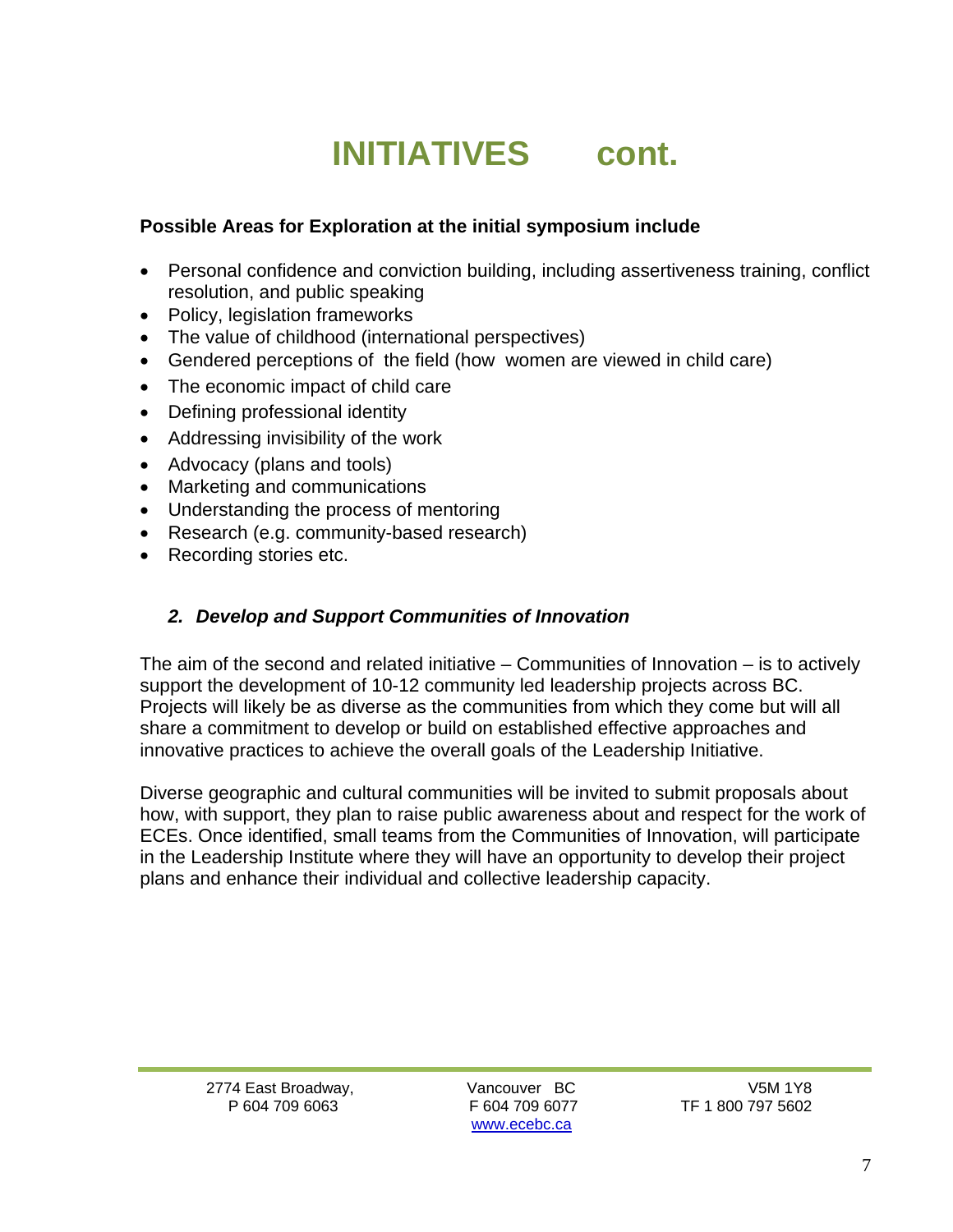### **INITIATIVES cont.**

#### **Possible Areas for Exploration at the initial symposium include**

- Personal confidence and conviction building, including assertiveness training, conflict resolution, and public speaking
- Policy, legislation frameworks
- The value of childhood (international perspectives)
- Gendered perceptions of the field (how women are viewed in child care)
- The economic impact of child care
- Defining professional identity
- Addressing invisibility of the work
- Advocacy (plans and tools)
- Marketing and communications
- Understanding the process of mentoring
- Research (e.g. community-based research)
- Recording stories etc.

#### *2. Develop and Support Communities of Innovation*

The aim of the second and related initiative  $-$  Communities of Innovation  $-$  is to actively support the development of 10-12 community led leadership projects across BC. Projects will likely be as diverse as the communities from which they come but will all share a commitment to develop or build on established effective approaches and innovative practices to achieve the overall goals of the Leadership Initiative.

Diverse geographic and cultural communities will be invited to submit proposals about how, with support, they plan to raise public awareness about and respect for the work of ECEs. Once identified, small teams from the Communities of Innovation, will participate in the Leadership Institute where they will have an opportunity to develop their project plans and enhance their individual and collective leadership capacity.

2774 East Broadway, Vancouver BC V5M 1Y8

www.ecebc.ca

P 604 709 6063 F 604 709 6077 TF 1 800 797 5602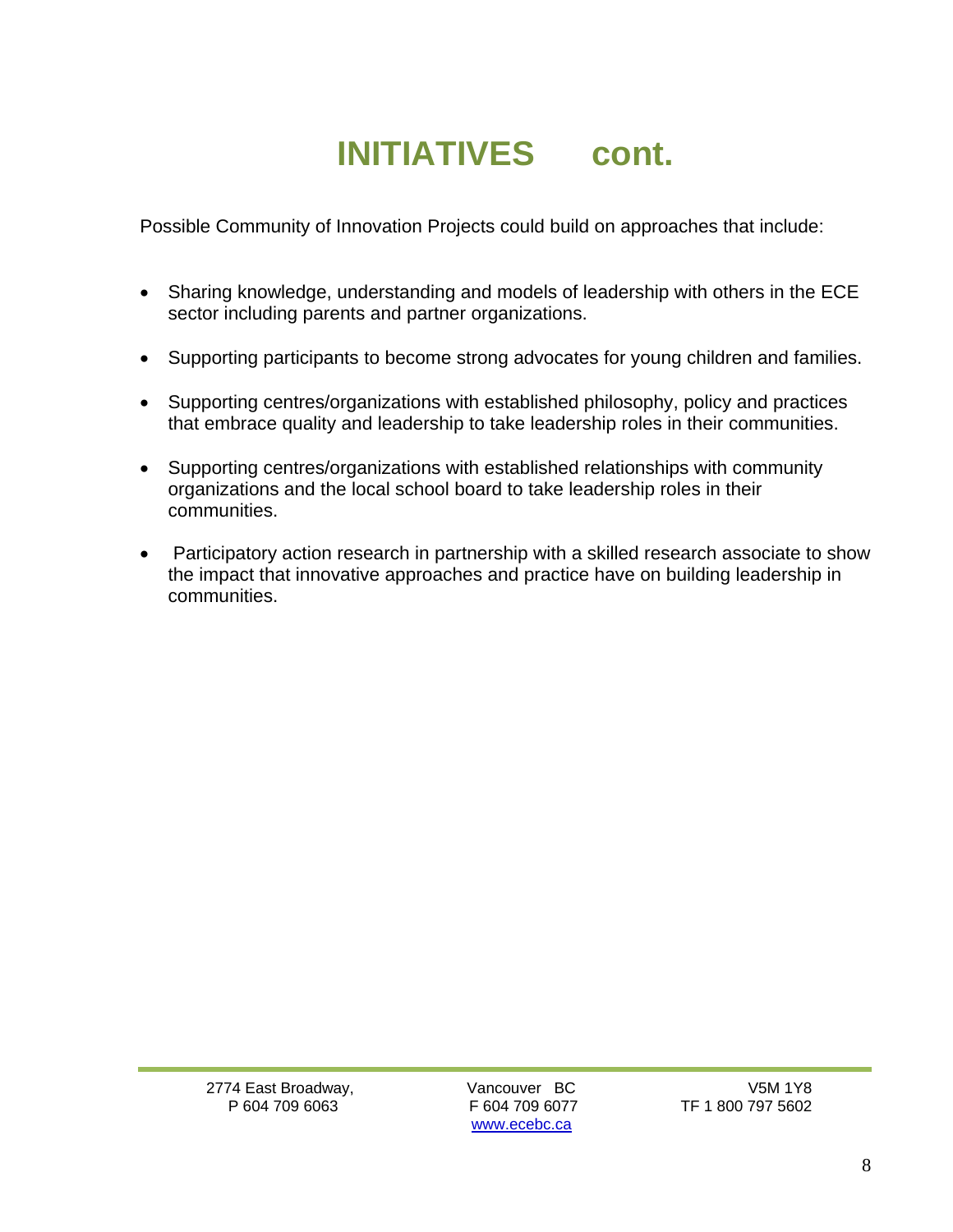## **INITIATIVES cont.**

Possible Community of Innovation Projects could build on approaches that include:

- Sharing knowledge, understanding and models of leadership with others in the ECE sector including parents and partner organizations.
- Supporting participants to become strong advocates for young children and families.
- Supporting centres/organizations with established philosophy, policy and practices that embrace quality and leadership to take leadership roles in their communities.
- Supporting centres/organizations with established relationships with community organizations and the local school board to take leadership roles in their communities.
- Participatory action research in partnership with a skilled research associate to show the impact that innovative approaches and practice have on building leadership in communities.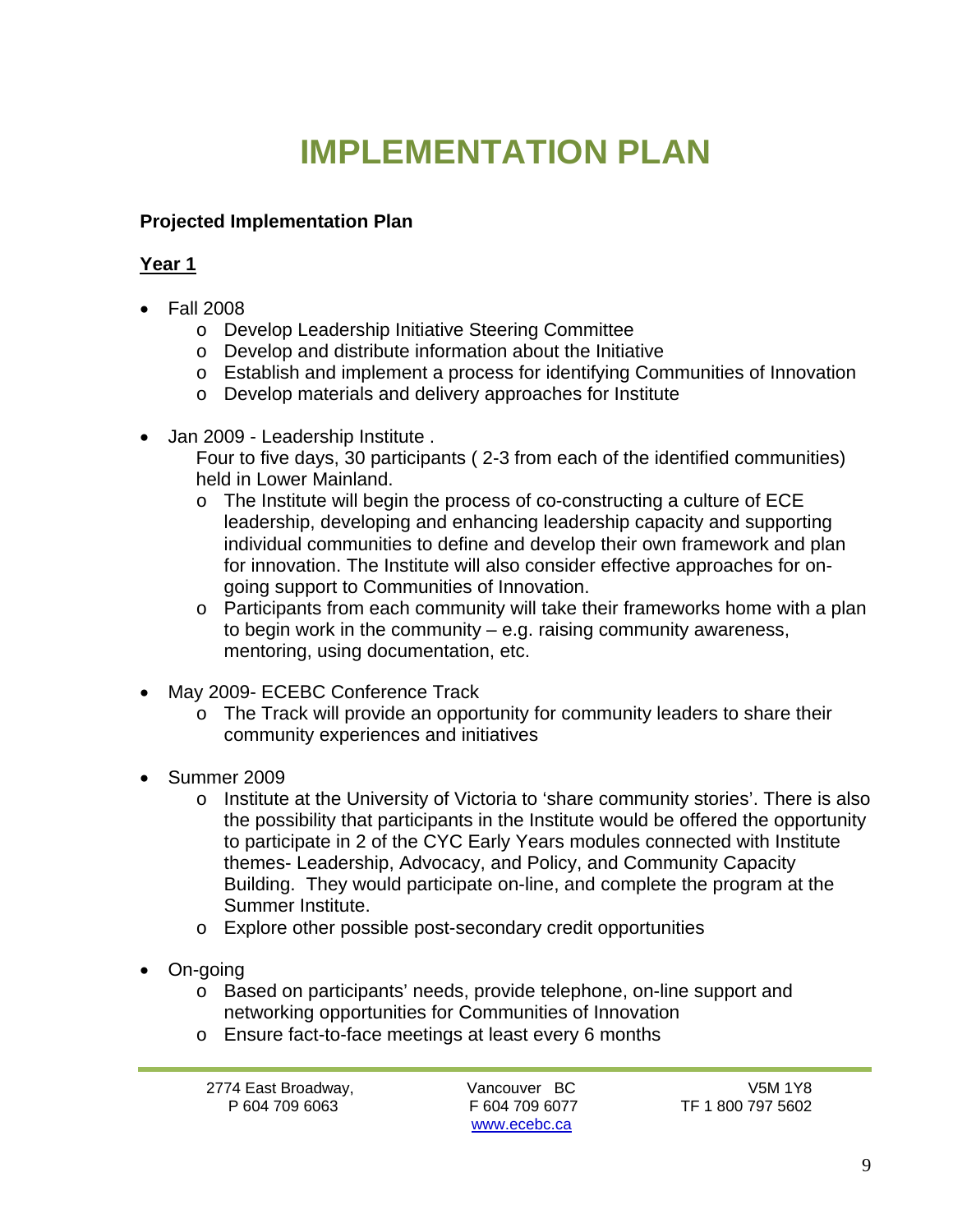## **IMPLEMENTATION PLAN**

#### **Projected Implementation Plan**

#### **Year 1**

- Fall 2008
	- o Develop Leadership Initiative Steering Committee
	- o Develop and distribute information about the Initiative
	- o Establish and implement a process for identifying Communities of Innovation
	- o Develop materials and delivery approaches for Institute
- Jan 2009 Leadership Institute .
	- Four to five days, 30 participants ( 2-3 from each of the identified communities) held in Lower Mainland.
	- $\circ$  The Institute will begin the process of co-constructing a culture of ECE leadership, developing and enhancing leadership capacity and supporting individual communities to define and develop their own framework and plan for innovation. The Institute will also consider effective approaches for ongoing support to Communities of Innovation.
	- o Participants from each community will take their frameworks home with a plan to begin work in the community  $-$  e.g. raising community awareness, mentoring, using documentation, etc.
- May 2009- ECEBC Conference Track
	- o The Track will provide an opportunity for community leaders to share their community experiences and initiatives
- Summer 2009
	- o Institute at the University of Victoria to 'share community stories'. There is also the possibility that participants in the Institute would be offered the opportunity to participate in 2 of the CYC Early Years modules connected with Institute themes- Leadership, Advocacy, and Policy, and Community Capacity Building. They would participate on-line, and complete the program at the Summer Institute.
	- o Explore other possible post-secondary credit opportunities
- On-going
	- o Based on participants' needs, provide telephone, on-line support and networking opportunities for Communities of Innovation
	- o Ensure fact-to-face meetings at least every 6 months

www.ecebc.ca

P 604 709 6063 F 604 709 6077 TF 1 800 797 5602